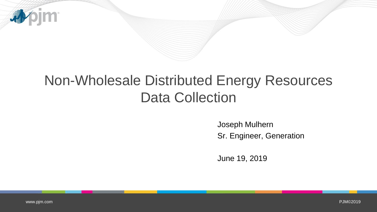

### Non-Wholesale Distributed Energy Resources Data Collection

Joseph Mulhern Sr. Engineer, Generation

June 19, 2019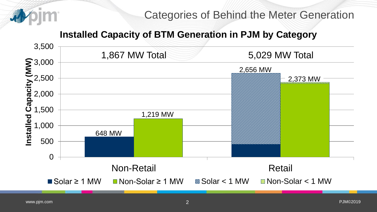

#### **Installed Capacity of BTM Generation in PJM by Category**

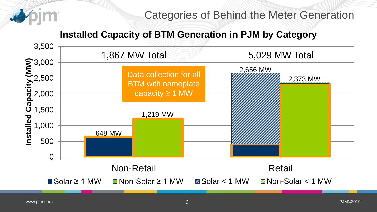

### Categories of Behind the Meter Generation

### **Installed Capacity of BTM Generation in PJM by Category**

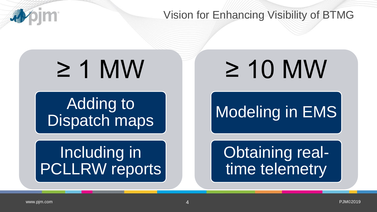

Vision for Enhancing Visibility of BTMG

# ≥ 1 MW

**Adding to** Dispatch maps

## Including in PCLLRW reports

≥ 10 MW

## Modeling in EMS

Obtaining realtime telemetry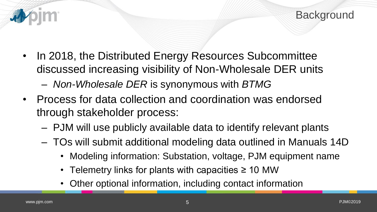

- In 2018, the Distributed Energy Resources Subcommittee discussed increasing visibility of Non-Wholesale DER units
	- *Non-Wholesale DER* is synonymous with *BTMG*
- Process for data collection and coordination was endorsed through stakeholder process:
	- PJM will use publicly available data to identify relevant plants
	- TOs will submit additional modeling data outlined in Manuals 14D
		- Modeling information: Substation, voltage, PJM equipment name
		- Telemetry links for plants with capacities  $\geq 10$  MW
		- Other optional information, including contact information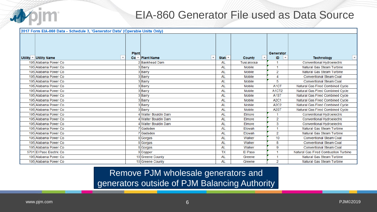

### EIA-860 Generator File used as Data Source

| Utility $\sqrt{ }$ Utility Name | <b>Plant</b> | $Co =  Plant Name$   | Stati $\tau$ | $\overline{\mathbf{v}}$ .<br>County | Generator<br>ID.<br>$\overline{\mathbf{v}}$ | ▼.<br><b>Technology</b>              |
|---------------------------------|--------------|----------------------|--------------|-------------------------------------|---------------------------------------------|--------------------------------------|
| 195 Alabama Power Co            |              | 2 Bankhead Dam       | AL           | Tuscaloosa                          | и                                           | Conventional Hydroelectric           |
| 195 Alabama Power Co            |              | 3 Barry              | <b>AL</b>    | <b>Mobile</b>                       | и                                           | Natural Gas Steam Turbine            |
| 195 Alabama Power Co            |              | 3 Barry              | AL           | Mobile                              | 2                                           | Natural Gas Steam Turbine            |
| 195 Alabama Power Co            |              | 3Barry               | AL           | <b>Mobile</b>                       | 4                                           | <b>Conventional Steam Coal</b>       |
| 195 Alabama Power Co            |              | 3 Barry              | AL           | <b>Mobile</b>                       | 5                                           | <b>Conventional Steam Coal</b>       |
| 195 Alabama Power Co            |              | 3 Barry              | AL           | <b>Mobile</b>                       | A <sub>1</sub> CT                           | Natural Gas Fired Combined Cycle     |
| 195 Alabama Power Co            |              | 3Barry               | AL           | Mobile                              | A1CT2                                       | Natural Gas Fired Combined Cycle     |
| 195 Alabama Power Co            |              | 3Barry               | AL           | <b>Mobile</b>                       | A <sub>1</sub> ST                           | Natural Gas Fired Combined Cycle     |
| 195 Alabama Power Co            |              | 3 Barry              | <b>AL</b>    | Mobile                              | <b>A2C1</b>                                 | Natural Gas Fired Combined Cycle     |
| 195 Alabama Power Co            |              | 3 Barry              | AL           | <b>Mobile</b>                       | A <sub>2</sub> C <sub>2</sub>               | Natural Gas Fired Combined Cycle     |
| 195 Alabama Power Co            |              | 3Barry               | AL           | <b>Mobile</b>                       | A <sub>2</sub> ST                           | Natural Gas Fired Combined Cycle     |
| 195 Alabama Power Co            |              | 4 Walter Bouldin Dam | AL           | Elmore                              |                                             | Conventional Hydroelectric           |
| 195 Alabama Power Co            |              | 4 Walter Bouldin Dam | <b>AL</b>    | Elmore                              | 2                                           | Conventional Hydroelectric           |
| 195 Alabama Power Co            |              | 4 Walter Bouldin Dam | <b>AL</b>    | Elmore                              | 3                                           | Conventional Hydroelectric           |
| 195 Alabama Power Co            |              | 7 Gadsden            | AL           | Etowah                              | и                                           | Natural Gas Steam Turbine            |
| 195 Alabama Power Co            |              | 7 Gadsden            | <b>AL</b>    | Etowah                              | 2                                           | Natural Gas Steam Turbine            |
| 195 Alabama Power Co            |              | 8 Gorgas             | AL           | Walker                              | 10                                          | <b>Conventional Steam Coal</b>       |
| 195 Alabama Power Co            |              | 8 Gorgas             | AL           | Walker                              | 8                                           | <b>Conventional Steam Coal</b>       |
| 195 Alabama Power Co            |              | 8 Gorgas             | AL           | Walker                              | 9                                           | <b>Conventional Steam Coal</b>       |
| 5701 El Paso Electric Co        |              | 9 Copper             | <b>TX</b>    | El Paso                             | и                                           | Natural Gas Fired Combustion Turbine |
| 195 Alabama Power Co            |              | 10 Greene County     | AL           | Greene                              | и                                           | Natural Gas Steam Turbine            |
| 195 Alabama Power Co            |              | 10 Greene County     | AL           | Greene                              | 2                                           | Natural Gas Steam Turbine            |

Remove PJM wholesale generators and generators outside of PJM Balancing Authority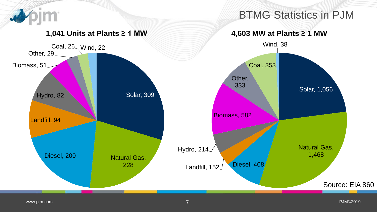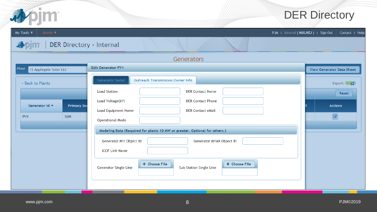![](_page_7_Picture_0.jpeg)

### DER Directory

| My Tools $\blacktriangledown$<br>Admin ▼                                                                                                                                                                                                                                                                                                                                                                                                                                                                               | PJM   Internal (MULHEJ)   Sign Out<br>Contact   Help                                                                                                                                                                                                                                                                                                                     |  |  |  |  |  |  |  |
|------------------------------------------------------------------------------------------------------------------------------------------------------------------------------------------------------------------------------------------------------------------------------------------------------------------------------------------------------------------------------------------------------------------------------------------------------------------------------------------------------------------------|--------------------------------------------------------------------------------------------------------------------------------------------------------------------------------------------------------------------------------------------------------------------------------------------------------------------------------------------------------------------------|--|--|--|--|--|--|--|
| <b>DER Directory - Internal</b>                                                                                                                                                                                                                                                                                                                                                                                                                                                                                        |                                                                                                                                                                                                                                                                                                                                                                          |  |  |  |  |  |  |  |
| Generators                                                                                                                                                                                                                                                                                                                                                                                                                                                                                                             |                                                                                                                                                                                                                                                                                                                                                                          |  |  |  |  |  |  |  |
| <b>Edit Generator PV1</b><br>Plant<br>12 Applegate Solar LLC                                                                                                                                                                                                                                                                                                                                                                                                                                                           | <b>View Generator Data Sheet</b>                                                                                                                                                                                                                                                                                                                                         |  |  |  |  |  |  |  |
| <b>Generator Detail</b><br><b>Outreach Transmission Owner Info</b><br>< Back to Plants                                                                                                                                                                                                                                                                                                                                                                                                                                 | Export: CV <sub>E</sub>                                                                                                                                                                                                                                                                                                                                                  |  |  |  |  |  |  |  |
| <b>Load Station</b><br><b>DER Contact Name</b><br>Load Voltage(kV)<br><b>DER Contact Phone</b><br>Generator Id A<br><b>Primary Sot</b><br><b>Load Equipment Name</b><br><b>DER Contact eMail</b><br><b>SUN</b><br>PV <sub>1</sub><br><b>Operational Mode</b><br>Modeling Data (Required for plants 10 MW or greater. Optional for others.)<br>Generator MW Object ID<br>Generator MVAR Object ID<br><b>ICCP Link Name</b><br>+ Choose File<br>+ Choose File<br><b>Generator Single Line</b><br>Sub Station Single Line | Reset<br><b>Actions</b><br>$\begin{picture}(40,40) \put(0,0){\line(1,0){155}} \put(15,0){\line(1,0){155}} \put(15,0){\line(1,0){155}} \put(15,0){\line(1,0){155}} \put(15,0){\line(1,0){155}} \put(15,0){\line(1,0){155}} \put(15,0){\line(1,0){155}} \put(15,0){\line(1,0){155}} \put(15,0){\line(1,0){155}} \put(15,0){\line(1,0){155}} \put(15,0){\line(1,0){155}} \$ |  |  |  |  |  |  |  |
|                                                                                                                                                                                                                                                                                                                                                                                                                                                                                                                        |                                                                                                                                                                                                                                                                                                                                                                          |  |  |  |  |  |  |  |